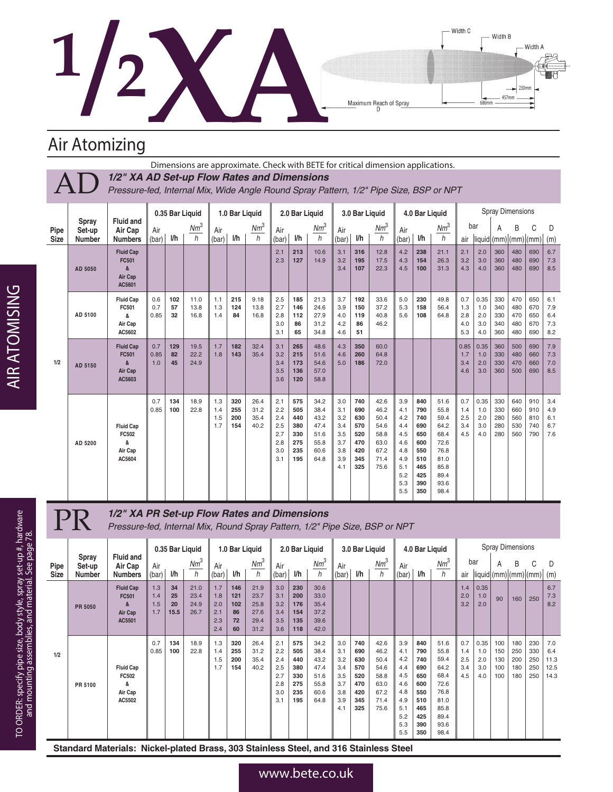

Width B 457mm Maximum Reach of Spray 686mm

Width C

230mm

Width A

K

## Air Atomizing

Pipe

|              |                                  |                                                                                                                                       |                             |                 |             |              |     | Dimensions are approximate. Check with BETE for critical dimension applications. |              |                |             |               |                |             |              |                |             |            |                  |                         |     |     |     |
|--------------|----------------------------------|---------------------------------------------------------------------------------------------------------------------------------------|-----------------------------|-----------------|-------------|--------------|-----|----------------------------------------------------------------------------------|--------------|----------------|-------------|---------------|----------------|-------------|--------------|----------------|-------------|------------|------------------|-------------------------|-----|-----|-----|
|              |                                  | 1/2" XA AD Set-up Flow Rates and Dimensions<br>Pressure-fed, Internal Mix, Wide Angle Round Spray Pattern, 1/2" Pipe Size, BSP or NPT |                             |                 |             |              |     |                                                                                  |              |                |             |               |                |             |              |                |             |            |                  |                         |     |     |     |
|              |                                  |                                                                                                                                       |                             | 0.35 Bar Liquid |             |              |     | 1.0 Bar Liquid                                                                   |              | 2.0 Bar Liquid |             |               | 3.0 Bar Liquid |             |              | 4.0 Bar Liquid |             |            |                  | <b>Spray Dimensions</b> |     |     |     |
| Pipe<br>Size | Spray<br>Set-up<br><b>Number</b> | <b>Fluid and</b><br>Air Cap<br><b>Numbers</b>                                                                                         | Air<br>$\blacksquare$ (bar) | I/h             | $Nm^3$<br>h | Air<br>(bar) | l/h | $Nm^3$<br>h                                                                      | Air<br>(bar) | l/h            | $Nm^3$<br>h | Air<br>I(bar) | l/h            | $Nm^3$<br>h | Air<br>(bar) | l/h            | $Nm^3$<br>h | bar<br>air | liquid (mm) (mm) |                         |     |     | (m) |
|              |                                  | <b>Fluid Cap</b>                                                                                                                      |                             |                 |             |              |     |                                                                                  | 2.1          | 213            | 10.6        | 3.1           | 316            | 12.8        | 4.2          | 238            | 21.1        | 2.1        | 2.0              | 360                     | 480 | 690 | 6.7 |

|     | AD 5050 | <b>Fluid Cap</b><br><b>FC501</b><br>&<br>Air Cap<br>AC5601 |                    |                 |                      |                          |                          |                              | 2.1<br>2.3                                           | 213<br>127                                           | 10.6<br>14.9                                                 | 3.1<br>3.2<br>3.4                                           | 316<br>195<br>107                                           | 12.8<br>17.5<br>22.3                                                 | 4.2<br>4.3<br>4.5                                                                | 238<br>154<br>100                                                                | 21.1<br>26.3<br>31.3                                                                         | 2.1<br>3.2<br>4.3               | 2.0<br>3.0<br>4.0                | 360<br>360<br>360               | 480<br>480<br>480               | 690<br>690<br>690               | 6.7<br>7.3<br>8.5               |
|-----|---------|------------------------------------------------------------|--------------------|-----------------|----------------------|--------------------------|--------------------------|------------------------------|------------------------------------------------------|------------------------------------------------------|--------------------------------------------------------------|-------------------------------------------------------------|-------------------------------------------------------------|----------------------------------------------------------------------|----------------------------------------------------------------------------------|----------------------------------------------------------------------------------|----------------------------------------------------------------------------------------------|---------------------------------|----------------------------------|---------------------------------|---------------------------------|---------------------------------|---------------------------------|
|     | AD 5100 | <b>Fluid Cap</b><br>FC501<br>&<br>Air Cap<br>AC5602        | 0.6<br>0.7<br>0.85 | 102<br>57<br>32 | 11.0<br>13.8<br>16.8 | 1.1<br>1.3<br>1.4        | 215<br>124<br>84         | 9.18<br>13.8<br>16.8         | 2.5<br>2.7<br>2.8<br>3.0<br>3.1                      | 185<br>146<br>112<br>86<br>65                        | 21.3<br>24.6<br>27.9<br>31.2<br>34.8                         | 3.7<br>3.9<br>4.0<br>4.2<br>4.6                             | 192<br>150<br>119<br>86<br>51                               | 33.6<br>37.2<br>40.8<br>46.2                                         | 5.0<br>5.3<br>5.6                                                                | 230<br>158<br>108                                                                | 49.8<br>56.4<br>64.8                                                                         | 0.7<br>1.3<br>2.8<br>4.0<br>5.3 | 0.35<br>1.0<br>2.0<br>3.0<br>4.0 | 330<br>340<br>330<br>340<br>360 | 470<br>480<br>470<br>480<br>480 | 650<br>670<br>650<br>670<br>690 | 6.1<br>7.9<br>6.4<br>7.3<br>8.2 |
| 1/2 | AD 5150 | <b>Fluid Cap</b><br><b>FC501</b><br>&<br>Air Cap<br>AC5603 | 0.7<br>0.85<br>1.0 | 129<br>82<br>45 | 19.5<br>22.2<br>24.9 | 1.7<br>1.8               | 182<br>143               | 32.4<br>35.4                 | 3.1<br>3.2<br>3.4<br>3.5<br>3.6                      | 265<br>215<br>173<br>136<br>120                      | 48.6<br>51.6<br>54.6<br>57.0<br>58.8                         | 4.3<br>4.6<br>5.0                                           | 350<br>260<br>186                                           | 60.0<br>64.8<br>72.0                                                 |                                                                                  |                                                                                  |                                                                                              | 0.85<br>1.7<br>3.4<br>4.6       | 0.35<br>1.0<br>2.0<br>3.0        | 360<br>330<br>330<br>360        | 500<br>480<br>470<br>500        | 690<br>660<br>660<br>690        | 7.9<br>7.3<br>7.0<br>8.5        |
|     | AD 5200 | <b>Fluid Cap</b><br>FC502<br>&<br>Air Cap<br>AC5604        | 0.7<br>0.85        | 134<br>100      | 18.9<br>22.8         | 1.3<br>1.4<br>1.5<br>1.7 | 320<br>255<br>200<br>154 | 26.4<br>31.2<br>35.4<br>40.2 | 2.1<br>2.2<br>2.4<br>2.5<br>2.7<br>2.8<br>3.0<br>3.1 | 575<br>505<br>440<br>380<br>330<br>275<br>235<br>195 | 34.2<br>38.4<br>43.2<br>47.4<br>51.6<br>55.8<br>60.6<br>64.8 | 3.0<br>3.1<br>3.2<br>3.4<br>3.5<br>3.7<br>3.8<br>3.9<br>4.1 | 740<br>690<br>630<br>570<br>520<br>470<br>420<br>345<br>325 | 42.6<br>46.2<br>50.4<br>54.6<br>58.8<br>63.0<br>67.2<br>71.4<br>75.6 | 3.9<br>4.1<br>4.2<br>4.4<br>4.5<br>4.6<br>4.8<br>4.9<br>5.1<br>5.2<br>5.3<br>5.5 | 840<br>790<br>740<br>690<br>650<br>600<br>550<br>510<br>465<br>425<br>390<br>350 | 51.6<br>55.8<br>59.4<br>64.2<br>68.4<br>72.6<br>76.8<br>81.0<br>85.8<br>89.4<br>93.6<br>98.4 | 0.7<br>1.4<br>2.5<br>3.4<br>4.5 | 0.35<br>1.0<br>2.0<br>3.0<br>4.0 | 330<br>330<br>280<br>280<br>280 | 640<br>660<br>560<br>530<br>560 | 910<br>910<br>810<br>740<br>790 | 3.4<br>4.9<br>6.1<br>6.7<br>7.6 |

# **PR 1/2" XA PR Set-up Flow Rates and Dimensions** Pressure-fed, Internal Mix, Round Spray Pattern, 1/2" Pi

*Pressure-fed, Internal Mix, Round Spray Pattern, 1/2" Pipe Size, BSP or NPT* 

|                     |                                  |                                                     |                          |                        | 0.35 Bar Liquid              |                                        | 1.0 Bar Liquid                      |                                              |                                                      | 2.0 Bar Liquid                                       |                                                              |                                                             | 3.0 Bar Liquid                                              |                                                                      |                                                                                  | 4.0 Bar Liquid                                                                   |                                                                                              |                                 |                                  |                                 | <b>Spray Dimensions</b>         |                                 |                                    |
|---------------------|----------------------------------|-----------------------------------------------------|--------------------------|------------------------|------------------------------|----------------------------------------|-------------------------------------|----------------------------------------------|------------------------------------------------------|------------------------------------------------------|--------------------------------------------------------------|-------------------------------------------------------------|-------------------------------------------------------------|----------------------------------------------------------------------|----------------------------------------------------------------------------------|----------------------------------------------------------------------------------|----------------------------------------------------------------------------------------------|---------------------------------|----------------------------------|---------------------------------|---------------------------------|---------------------------------|------------------------------------|
| Pipe<br><b>Size</b> | Spray<br>Set-up<br><b>Number</b> | <b>Fluid and</b><br>Air Cap<br><b>Numbers</b>       | Air<br>(bar)             | I/h                    | $Nm^3$<br>$\hbar$            | Air<br>(bar)                           | l/h                                 | $Nm^3$<br>h                                  | Air<br>(bar)                                         | l/h                                                  | $Nm^3$<br>h                                                  | Air<br>(bar)                                                | l/h                                                         | $Nm^3$<br>$\hbar$                                                    | Air<br>(bar)                                                                     | l/h                                                                              | $Nm^3$<br>h                                                                                  | bar<br>air                      |                                  | A                               | B                               | C<br>liquid (mm) (mm) (mm)      | D<br>(m)                           |
|                     | <b>PR 5050</b>                   | <b>Fluid Cap</b><br>FC501<br>&<br>Air Cap<br>AC5501 | 1.3<br>1.4<br>1.5<br>1.7 | 34<br>25<br>20<br>15.5 | 21.0<br>23.4<br>24.9<br>26.7 | 1.7<br>1.8<br>2.0<br>2.1<br>2.3<br>2.4 | 146<br>121<br>102<br>86<br>72<br>60 | 21.9<br>23.7<br>25.8<br>27.6<br>29.4<br>31.2 | 3.0<br>3.1<br>3.2<br>3.4<br>3.5<br>3.6               | 230<br>200<br>176<br>154<br>135<br>118               | 30.6<br>33.0<br>35.4<br>37.2<br>39.6<br>42.0                 |                                                             |                                                             |                                                                      |                                                                                  |                                                                                  |                                                                                              | 1.4<br>2.0<br>3.2               | 0.35<br>1.0<br>2.0               | 90                              | 160                             | 250                             | 6.7<br>7.3<br>8.2                  |
| 1/2                 | PR 5100                          | <b>Fluid Cap</b><br>FC502<br>&<br>Air Cap<br>AC5502 | 0.7<br>0.85              | 134<br>100             | 18.9<br>22.8                 | 1.3<br>1.4<br>1.5<br>1.7               | 320<br>255<br>200<br>154            | 26.4<br>31.2<br>35.4<br>40.2                 | 2.1<br>2.2<br>2.4<br>2.5<br>2.7<br>2.8<br>3.0<br>3.1 | 575<br>505<br>440<br>380<br>330<br>275<br>235<br>195 | 34.2<br>38.4<br>43.2<br>47.4<br>51.6<br>55.8<br>60.6<br>64.8 | 3.0<br>3.1<br>3.2<br>3.4<br>3.5<br>3.7<br>3.8<br>3.9<br>4.1 | 740<br>690<br>630<br>570<br>520<br>470<br>420<br>345<br>325 | 42.6<br>46.2<br>50.4<br>54.6<br>58.8<br>63.0<br>67.2<br>71.4<br>75.6 | 3.9<br>4.1<br>4.2<br>4.4<br>4.5<br>4.6<br>4.8<br>4.9<br>5.1<br>5.2<br>5.3<br>5.5 | 840<br>790<br>740<br>690<br>650<br>600<br>550<br>510<br>465<br>425<br>390<br>350 | 51.6<br>55.8<br>59.4<br>64.2<br>68.4<br>72.6<br>76.8<br>81.0<br>85.8<br>89.4<br>93.6<br>98.4 | 0.7<br>1.4<br>2.5<br>3.4<br>4.5 | 0.35<br>1.0<br>2.0<br>3.0<br>4.0 | 100<br>150<br>130<br>100<br>100 | 180<br>250<br>200<br>180<br>180 | 230<br>330<br>250<br>250<br>250 | 7.0<br>6.4<br>11.3<br>12.5<br>14.3 |

**Standard Materials: Nickel-plated Brass, 303 Stainless Steel, and 316 Stainless Steel**